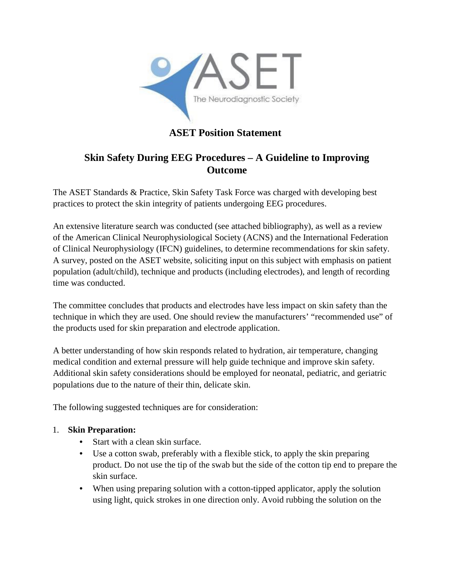

# **ASET Position Statement**

## **Skin Safety During EEG Procedures – A Guideline to Improving Outcome**

The ASET Standards & Practice, Skin Safety Task Force was charged with developing best practices to protect the skin integrity of patients undergoing EEG procedures.

An extensive literature search was conducted (see attached bibliography), as well as a review of the American Clinical Neurophysiological Society (ACNS) and the International Federation of Clinical Neurophysiology (IFCN) guidelines, to determine recommendations for skin safety. A survey, posted on the ASET website, soliciting input on this subject with emphasis on patient population (adult/child), technique and products (including electrodes), and length of recording time was conducted.

The committee concludes that products and electrodes have less impact on skin safety than the technique in which they are used. One should review the manufacturers' "recommended use" of the products used for skin preparation and electrode application.

A better understanding of how skin responds related to hydration, air temperature, changing medical condition and external pressure will help guide technique and improve skin safety. Additional skin safety considerations should be employed for neonatal, pediatric, and geriatric populations due to the nature of their thin, delicate skin.

The following suggested techniques are for consideration:

#### 1. **Skin Preparation:**

- Start with a clean skin surface.
- Use a cotton swab, preferably with a flexible stick, to apply the skin preparing product. Do not use the tip of the swab but the side of the cotton tip end to prepare the skin surface.
- When using preparing solution with a cotton-tipped applicator, apply the solution using light, quick strokes in one direction only. Avoid rubbing the solution on the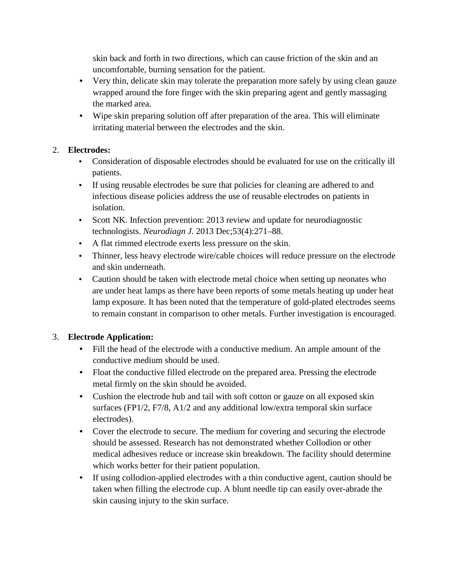skin back and forth in two directions, which can cause friction of the skin and an uncomfortable, burning sensation for the patient.

- Very thin, delicate skin may tolerate the preparation more safely by using clean gauze wrapped around the fore finger with the skin preparing agent and gently massaging the marked area.
- Wipe skin preparing solution off after preparation of the area. This will eliminate irritating material between the electrodes and the skin.

### 2. **Electrodes:**

- Consideration of disposable electrodes should be evaluated for use on the critically ill patients.
- If using reusable electrodes be sure that policies for cleaning are adhered to and infectious disease policies address the use of reusable electrodes on patients in isolation.
- Scott NK. Infection prevention: 2013 review and update for neurodiagnostic technologists. *Neurodiagn J.* 2013 Dec;53(4):271–88.
- A flat rimmed electrode exerts less pressure on the skin.
- Thinner, less heavy electrode wire/cable choices will reduce pressure on the electrode and skin underneath.
- Caution should be taken with electrode metal choice when setting up neonates who are under heat lamps as there have been reports of some metals heating up under heat lamp exposure. It has been noted that the temperature of gold-plated electrodes seems to remain constant in comparison to other metals. Further investigation is encouraged.

## 3. **Electrode Application:**

- Fill the head of the electrode with a conductive medium. An ample amount of the conductive medium should be used.
- Float the conductive filled electrode on the prepared area. Pressing the electrode metal firmly on the skin should be avoided.
- Cushion the electrode hub and tail with soft cotton or gauze on all exposed skin surfaces (FP1/2, F7/8, A1/2 and any additional low/extra temporal skin surface electrodes).
- Cover the electrode to secure. The medium for covering and securing the electrode should be assessed. Research has not demonstrated whether Collodion or other medical adhesives reduce or increase skin breakdown. The facility should determine which works better for their patient population.
- If using collodion-applied electrodes with a thin conductive agent, caution should be taken when filling the electrode cup. A blunt needle tip can easily over-abrade the skin causing injury to the skin surface.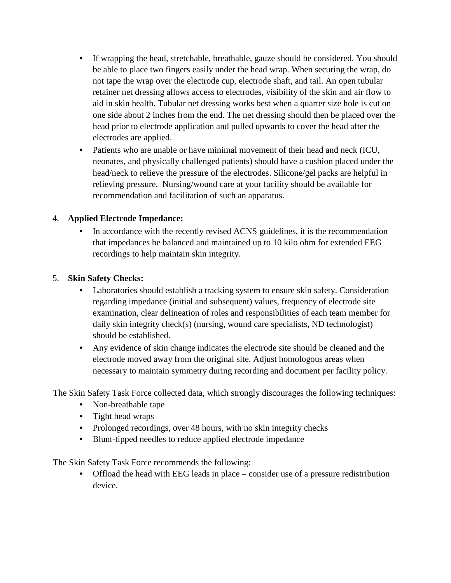- If wrapping the head, stretchable, breathable, gauze should be considered. You should be able to place two fingers easily under the head wrap. When securing the wrap, do not tape the wrap over the electrode cup, electrode shaft, and tail. An open tubular retainer net dressing allows access to electrodes, visibility of the skin and air flow to aid in skin health. Tubular net dressing works best when a quarter size hole is cut on one side about 2 inches from the end. The net dressing should then be placed over the head prior to electrode application and pulled upwards to cover the head after the electrodes are applied.
- Patients who are unable or have minimal movement of their head and neck (ICU, neonates, and physically challenged patients) should have a cushion placed under the head/neck to relieve the pressure of the electrodes. Silicone/gel packs are helpful in relieving pressure. Nursing/wound care at your facility should be available for recommendation and facilitation of such an apparatus.

### 4. **Applied Electrode Impedance:**

• In accordance with the recently revised ACNS guidelines, it is the recommendation that impedances be balanced and maintained up to 10 kilo ohm for extended EEG recordings to help maintain skin integrity.

### 5. **Skin Safety Checks:**

- Laboratories should establish a tracking system to ensure skin safety. Consideration regarding impedance (initial and subsequent) values, frequency of electrode site examination, clear delineation of roles and responsibilities of each team member for daily skin integrity check(s) (nursing, wound care specialists, ND technologist) should be established.
- Any evidence of skin change indicates the electrode site should be cleaned and the electrode moved away from the original site. Adjust homologous areas when necessary to maintain symmetry during recording and document per facility policy.

The Skin Safety Task Force collected data, which strongly discourages the following techniques:

- Non-breathable tape
- Tight head wraps
- Prolonged recordings, over 48 hours, with no skin integrity checks
- Blunt-tipped needles to reduce applied electrode impedance

The Skin Safety Task Force recommends the following:

• Offload the head with EEG leads in place – consider use of a pressure redistribution device.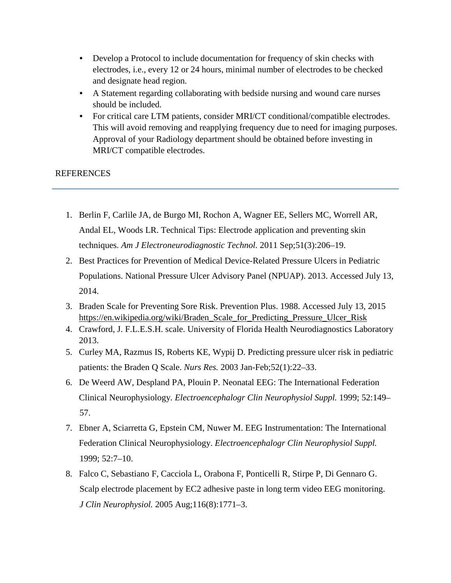- Develop a Protocol to include documentation for frequency of skin checks with electrodes, i.e., every 12 or 24 hours, minimal number of electrodes to be checked and designate head region.
- A Statement regarding collaborating with bedside nursing and wound care nurses should be included.
- For critical care LTM patients, consider MRI/CT conditional/compatible electrodes. This will avoid removing and reapplying frequency due to need for imaging purposes. Approval of your Radiology department should be obtained before investing in MRI/CT compatible electrodes.

### REFERENCES

- 1. Berlin F, Carlile JA, de Burgo MI, Rochon A, Wagner EE, Sellers MC, Worrell AR, Andal EL, Woods LR. Technical Tips: Electrode application and preventing skin techniques. *Am J Electroneurodiagnostic Technol.* 2011 Sep;51(3):206–19.
- 2. Best Practices for Prevention of Medical Device-Related Pressure Ulcers in Pediatric Populations. National Pressure Ulcer Advisory Panel (NPUAP). 2013. Accessed July 13, 2014.
- 3. Braden Scale for Preventing Sore Risk. Prevention Plus. 1988. Accessed July 13, 2015 [https://en.wikipedia.org/wiki/Braden\\_Scale\\_for\\_Predicting\\_Pressure\\_Ulcer\\_Risk](https://en.wikipedia.org/wiki/Braden_Scale_for_Predicting_Pressure_Ulcer_Risk)
- 4. Crawford, J. F.L.E.S.H. scale. University of Florida Health Neurodiagnostics Laboratory 2013.
- 5. Curley MA, Razmus IS, Roberts KE, Wypij D. Predicting pressure ulcer risk in pediatric patients: the Braden Q Scale. *Nurs Res.* 2003 Jan-Feb;52(1):22–33.
- 6. De Weerd AW, Despland PA, Plouin P. Neonatal EEG: The International Federation Clinical Neurophysiology. *Electroencephalogr Clin Neurophysiol Suppl.* 1999; 52:149– 57.
- 7. Ebner A, Sciarretta G, Epstein CM, Nuwer M. EEG Instrumentation: The International Federation Clinical Neurophysiology. *Electroencephalogr Clin Neurophysiol Suppl.* 1999; 52:7–10.
- 8. Falco C, Sebastiano F, Cacciola L, Orabona F, Ponticelli R, Stirpe P, Di Gennaro G. Scalp electrode placement by EC2 adhesive paste in long term video EEG monitoring. *J Clin Neurophysiol.* 2005 Aug;116(8):1771–3.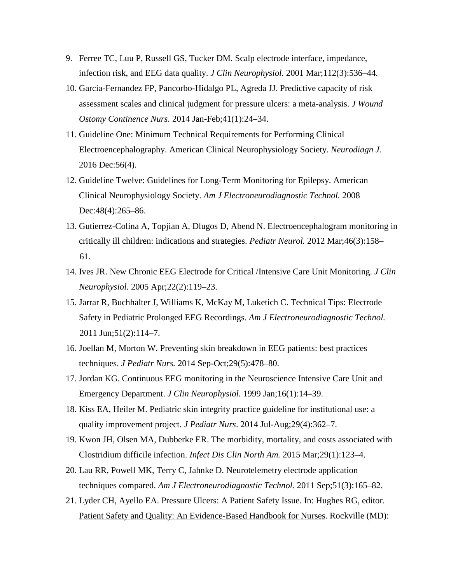- 9. Ferree TC, Luu P, Russell GS, Tucker DM. Scalp electrode interface, impedance, infection risk, and EEG data quality. *J Clin Neurophysiol.* 2001 Mar;112(3):536–44.
- 10. Garcia-Fernandez FP, Pancorbo-Hidalgo PL, Agreda JJ. Predictive capacity of risk assessment scales and clinical judgment for pressure ulcers: a meta-analysis. *J Wound Ostomy Continence Nurs.* 2014 Jan-Feb;41(1):24–34.
- 11. Guideline One: Minimum Technical Requirements for Performing Clinical Electroencephalography. American Clinical Neurophysiology Society. *Neurodiagn J.* 2016 Dec:56(4).
- 12. Guideline Twelve: Guidelines for Long-Term Monitoring for Epilepsy. American Clinical Neurophysiology Society. *Am J Electroneurodiagnostic Technol.* 2008 Dec: 48(4): 265–86.
- 13. Gutierrez-Colina A, Topjian A, Dlugos D, Abend N. Electroencephalogram monitoring in critically ill children: indications and strategies. *Pediatr Neurol.* 2012 Mar;46(3):158– 61.
- 14. Ives JR. New Chronic EEG Electrode for Critical /Intensive Care Unit Monitoring. *J Clin Neurophysiol.* 2005 Apr;22(2):119–23.
- 15. Jarrar R, Buchhalter J, Williams K, McKay M, Luketich C. Technical Tips: Electrode Safety in Pediatric Prolonged EEG Recordings. *Am J Electroneurodiagnostic Technol.* 2011 Jun;51(2):114–7.
- 16. Joellan M, Morton W. Preventing skin breakdown in EEG patients: best practices techniques. *J Pediatr Nurs.* 2014 Sep-Oct;29(5):478–80.
- 17. Jordan KG. Continuous EEG monitoring in the Neuroscience Intensive Care Unit and Emergency Department. *J Clin Neurophysiol.* 1999 Jan;16(1):14–39.
- 18. Kiss EA, Heiler M. Pediatric skin integrity practice guideline for institutional use: a quality improvement project. *J Pediatr Nurs*. 2014 Jul-Aug;29(4):362–7.
- 19. Kwon JH, Olsen MA, Dubberke ER. The morbidity, mortality, and costs associated with Clostridium difficile infection. *Infect Dis Clin North Am.* 2015 Mar;29(1):123–4.
- 20. Lau RR, Powell MK, Terry C, Jahnke D. Neurotelemetry electrode application techniques compared. *Am J Electroneurodiagnostic Technol.* 2011 Sep;51(3):165–82.
- 21. Lyder CH, Ayello EA. Pressure Ulcers: A Patient Safety Issue. In: Hughes RG, editor. Patient Safety and Quality: An Evidence-Based Handbook for Nurses. Rockville (MD):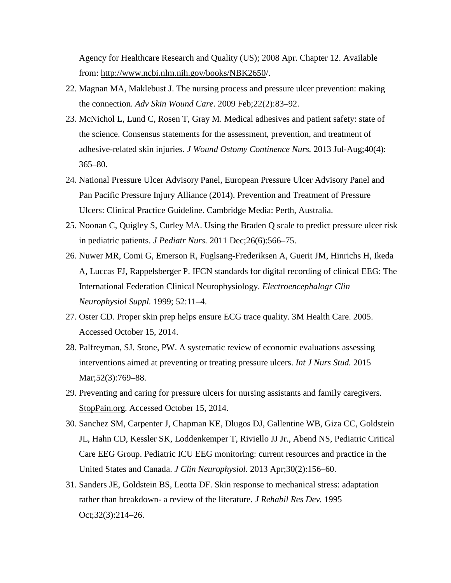Agency for Healthcare Research and Quality (US); 2008 Apr. Chapter 12. Available from: http://www.ncbi.nlm.nih.gov/books/NBK2650/.

- 22. Magnan MA, Maklebust J. The nursing process and pressure ulcer prevention: making the connection. *Adv Skin Wound Care*. 2009 Feb;22(2):83–92.
- 23. McNichol L, Lund C, Rosen T, Gray M. Medical adhesives and patient safety: state of the science. Consensus statements for the assessment, prevention, and treatment of adhesive-related skin injuries. *J Wound Ostomy Continence Nurs.* 2013 Jul-Aug;40(4): 365–80.
- 24. National Pressure Ulcer Advisory Panel, European Pressure Ulcer Advisory Panel and Pan Pacific Pressure Injury Alliance (2014). Prevention and Treatment of Pressure Ulcers: Clinical Practice Guideline. Cambridge Media: Perth, Australia.
- 25. Noonan C, Quigley S, Curley MA. Using the Braden Q scale to predict pressure ulcer risk in pediatric patients. *J Pediatr Nurs.* 2011 Dec;26(6):566–75.
- 26. Nuwer MR, Comi G, Emerson R, Fuglsang-Frederiksen A, Guerit JM, Hinrichs H, Ikeda A, Luccas FJ, Rappelsberger P. IFCN standards for digital recording of clinical EEG: The International Federation Clinical Neurophysiology. *Electroencephalogr Clin Neurophysiol Suppl.* 1999; 52:11–4.
- 27. Oster CD. Proper skin prep helps ensure ECG trace quality. 3M Health Care. 2005. Accessed October 15, 2014.
- 28. Palfreyman, SJ. Stone, PW. A systematic review of economic evaluations assessing interventions aimed at preventing or treating pressure ulcers. *Int J Nurs Stud.* 2015 Mar; 52(3): 769–88.
- 29. Preventing and caring for pressure ulcers for nursing assistants and family caregivers. StopPain.org. Accessed October 15, 2014.
- 30. Sanchez SM, Carpenter J, Chapman KE, Dlugos DJ, Gallentine WB, Giza CC, Goldstein JL, Hahn CD, Kessler SK, Loddenkemper T, Riviello JJ Jr., Abend NS, Pediatric Critical Care EEG Group. Pediatric ICU EEG monitoring: current resources and practice in the United States and Canada. *J Clin Neurophysiol.* 2013 Apr;30(2):156–60.
- 31. Sanders JE, Goldstein BS, Leotta DF. Skin response to mechanical stress: adaptation rather than breakdown- a review of the literature. *J Rehabil Res Dev.* 1995 Oct;32(3):214–26.